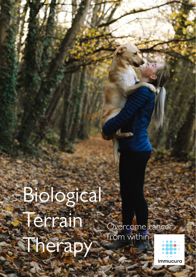## Biological Terrain Therapy Overcome cancer from within

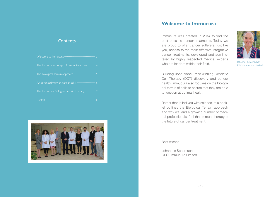### **Contents**

| Welcome to Immucura-                         |  |
|----------------------------------------------|--|
| The Immucura concept of cancer treatment $-$ |  |
| The Biological Terrain approach              |  |
| An advanced view on cancer cells             |  |
| The Immucura Biological Terrain Therapy      |  |
| Contact                                      |  |



### **Welcome to Immucura**

Immucura was created in 2014 to find the best possible cancer treatments. Today we are proud to offer cancer sufferers, just like you, access to the most effective integrative cancer treatments, developed and administered by highly respected medical experts who are leaders within their field.



Johannes Schumacher CEO, Immucura Limited

Building upon Nobel Prize winning Dendritic Cell Therapy (DCT) discovery and cancer health, Immucura also focuses on the biological terrain of cells to ensure that they are able to function at optimal health.

Rather than blind you with science, this booklet outlines the Biological Terrain approach and why we, and a growing number of medical professionals, feel that immunotherapy is the future of cancer treatment.

#### Best wishes

Johannes Schumacher CEO, Immucura Limited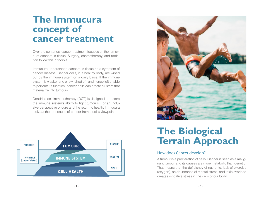### **The Immucura concept of cancer treatment**

Over the centuries, cancer treatment focuses on the removal of cancerous tissue. Surgery, chemotherapy, and radiation follow this principle.

Immucura understands cancerous tissue as a symptom of cancer disease. Cancer cells, in a healthy body, are wiped out by the immune system on a daily basis. If the immune system is weakenend or switched off, and hence left unable to perform its function, cancer cells can create clusters that materialize into tumours.

Dendritic cell immunotherapy (DCT) is designed to restore the immune system's ability to fight tumours. For an inclusive perspective of cure and the return to health, Immucura looks at the root cause of cancer from a cell's viewpoint.





## **The Biological Terrain Approach**

#### How does Cancer develop?

A tumour is a proliferation of cells. Cancer is seen as a malignant tumour and its causes are more metabolic than genetic. That means that the deficiency of nutrients, lack of exercise (oxygen), an abundance of mental stress, and toxic overload creates oxidative stress in the cells of our body.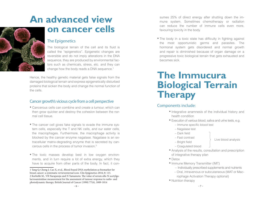# **An advanced view**



## **on cancer cells**

### The Epigenetics

The biological terrain of the cell and its fluid is called the "epigenetics". Epigenetic changes are reversible and do not imply alterations in the DNA sequence, they are produced by environmental factors such as chemicals, stress, etc. and they can change how the body reads a DNA sequence.1

Hence, the healthy genetic material gets false signals from the damaged biological terrain and express epigenetically disturbed proteins that sicken the body and change the normal function of the cells.

### Cancer growth's vicious cycle from a cell perspective

- Cancerous cells can combine and create a tumour, which can then grow quicker and destroy the cohesion between the normal cell tissue.
- The cancer cell gives fake signals to evade the immune system cells, especially the T and NK cells, and our eater cells, the macrophages. Furthermore, the macrophage activity is blocked by the cancer enzyme nagalase. Nagalase is an extracellular matrix-degrading enzyme that is secreted by cancerous cells in the process of tumor invasion.2
- The toxic masses develop best in low oxygen environments, and in turn require a lot of extra energy, which they have to acquire from other parts of the body. In fact, it con-

sumes 25% of direct energy after shutting down the immune system. Sometimes chemotherapy or radiation can reduce the number of immune cells even more, favouring toxicity in the body.

• The body in a toxic state has difficulty in fighting against the most opportunistic germs and parasites. The hormonal system gets disordered and normal growth and repair is diminished because of organ damage on a progressive toxic biological terrain that gets exhausted and becomes sick.

## **The Immucura Biological Terrain Therapy**

### Components include:

- Integrative anamnesis of the individual history and health condition
- Execution of various blood, saliva and urine tests, e.g.
	- Immune specific blood test
	- Nagalase test
	- Dark field
	- Fast contrast
- Live blood analysis
- Bright field – Coagulated blood
- Analysis of the results, consultation and prescription of integrative therapy plan
- Detox
	- Immune Memory Transmitter (IMT)
		- Individually prescribed supplements and nutrients
		- Oral, intravenous or subcutaneous (MAT or Macrophage Activation Therapy optional)
	- Nutrition therapy

<sup>1</sup> Tang Q, Cheng J, Cao X, et al., Blood-based DNA methylation as biomarker for breast cancer: a systematic reviewexternal icon. Clin Epigenetics 2016; 8: 115. 2 Korbelik M., VR Naraparaju and N Yamamoto. The value of serum alfa-N-acetylgalactosaminidase measurement for the assessment of tumour response to radio- and photodynamic therapy. British Journal of Cancer (1998) 77(6), 1009-1014